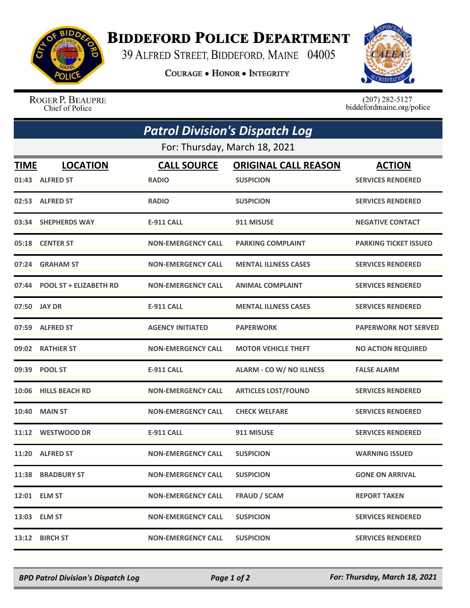

## **BIDDEFORD POLICE DEPARTMENT**

39 ALFRED STREET, BIDDEFORD, MAINE 04005

**COURAGE . HONOR . INTEGRITY** 



ROGER P. BEAUPRE Chief of Police

 $(207)$  282-5127<br>biddefordmaine.org/police

| <b>Patrol Division's Dispatch Log</b><br>For: Thursday, March 18, 2021 |                              |                           |                             |                              |  |  |
|------------------------------------------------------------------------|------------------------------|---------------------------|-----------------------------|------------------------------|--|--|
|                                                                        |                              |                           |                             |                              |  |  |
|                                                                        | 01:43 ALFRED ST              | <b>RADIO</b>              | <b>SUSPICION</b>            | <b>SERVICES RENDERED</b>     |  |  |
|                                                                        | 02:53 ALFRED ST              | <b>RADIO</b>              | <b>SUSPICION</b>            | <b>SERVICES RENDERED</b>     |  |  |
|                                                                        | 03:34 SHEPHERDS WAY          | <b>E-911 CALL</b>         | 911 MISUSE                  | <b>NEGATIVE CONTACT</b>      |  |  |
|                                                                        | 05:18 CENTER ST              | <b>NON-EMERGENCY CALL</b> | <b>PARKING COMPLAINT</b>    | <b>PARKING TICKET ISSUED</b> |  |  |
| 07:24                                                                  | <b>GRAHAM ST</b>             | <b>NON-EMERGENCY CALL</b> | <b>MENTAL ILLNESS CASES</b> | <b>SERVICES RENDERED</b>     |  |  |
|                                                                        | 07:44 POOL ST + ELIZABETH RD | <b>NON-EMERGENCY CALL</b> | <b>ANIMAL COMPLAINT</b>     | <b>SERVICES RENDERED</b>     |  |  |
|                                                                        | 07:50 JAY DR                 | <b>E-911 CALL</b>         | <b>MENTAL ILLNESS CASES</b> | <b>SERVICES RENDERED</b>     |  |  |
|                                                                        | 07:59 ALFRED ST              | <b>AGENCY INITIATED</b>   | <b>PAPERWORK</b>            | <b>PAPERWORK NOT SERVED</b>  |  |  |
|                                                                        | 09:02 RATHIER ST             | <b>NON-EMERGENCY CALL</b> | <b>MOTOR VEHICLE THEFT</b>  | <b>NO ACTION REQUIRED</b>    |  |  |
|                                                                        | 09:39 POOL ST                | <b>E-911 CALL</b>         | ALARM - CO W/ NO ILLNESS    | <b>FALSE ALARM</b>           |  |  |
|                                                                        | 10:06 HILLS BEACH RD         | <b>NON-EMERGENCY CALL</b> | <b>ARTICLES LOST/FOUND</b>  | <b>SERVICES RENDERED</b>     |  |  |
| 10:40                                                                  | <b>MAIN ST</b>               | <b>NON-EMERGENCY CALL</b> | <b>CHECK WELFARE</b>        | <b>SERVICES RENDERED</b>     |  |  |
|                                                                        | 11:12 WESTWOOD DR            | <b>E-911 CALL</b>         | 911 MISUSE                  | <b>SERVICES RENDERED</b>     |  |  |
|                                                                        | 11:20 ALFRED ST              | <b>NON-EMERGENCY CALL</b> | <b>SUSPICION</b>            | <b>WARNING ISSUED</b>        |  |  |
|                                                                        | 11:38 BRADBURY ST            | <b>NON-EMERGENCY CALL</b> | <b>SUSPICION</b>            | <b>GONE ON ARRIVAL</b>       |  |  |
|                                                                        | 12:01 ELM ST                 | <b>NON-EMERGENCY CALL</b> | <b>FRAUD / SCAM</b>         | <b>REPORT TAKEN</b>          |  |  |
|                                                                        | 13:03 ELM ST                 | <b>NON-EMERGENCY CALL</b> | <b>SUSPICION</b>            | <b>SERVICES RENDERED</b>     |  |  |
|                                                                        | 13:12 BIRCH ST               | <b>NON-EMERGENCY CALL</b> | <b>SUSPICION</b>            | <b>SERVICES RENDERED</b>     |  |  |